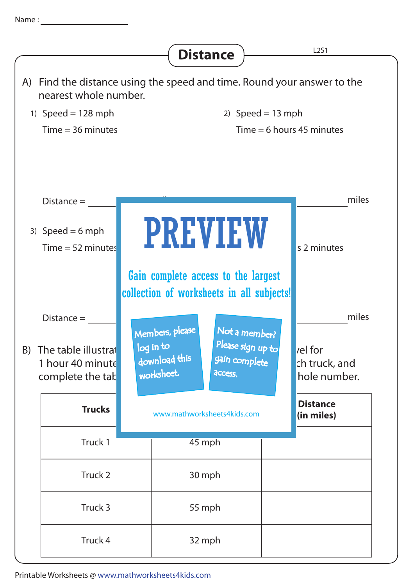